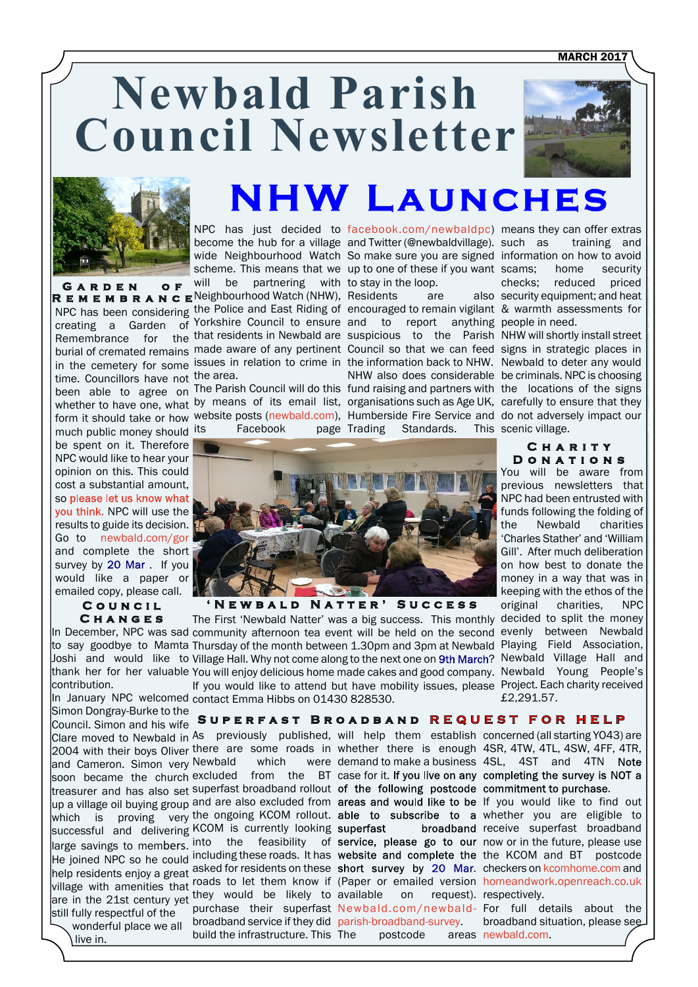**MARCH 2017** 

# **Newbald Parish Council Newsletter**





**GARDEN OF** 

time. Councillors have not the area. much public money should its be spent on it. Therefore NPC would like to hear your opinion on this. This could co[st a substantial amount,](https://www.surveymonkey.co.uk/r/2DRHB6F) so please let us know what vou think. NPC will use the results to guide its decision. Go to [newbald.com/gor](https://www.surveymonkey.co.uk/r/2DRHB6F) and complete the short survey by 20 Mar. If you would like a paper or emailed copy, please call.

#### **C o u n c i l C h a n g e s**

contribution.

and Cameron. Simon very Newbald vhich vere demand to make a business 4SL, 4ST and 4TN soon became the church excluded from the BT case for it. treasurer and has also set Superfast broadband rollout of the following postcode commitment to purchase. they would be likely to In January NPC welcomed contact Emma Hibbs on 01430 828530.Council. Simon and his wife still fully respectful of the wonderful place we all

live in.

# **NHW Launches**

NPC has been considering the Police and East Riding of encouraged to remain vigilant & warmth assessments for creating a Garden of Yorkshire Council to ensure and to report anything people in need. Remembrance for the that residents in Newbald are suspicious to the Parish NHW will shortly install street burial of cremated remains made aware of any pertinent Council so that we can feed signs in strategic places in in the cemetery for some issues in relation to crime in the information back to NHW. Newbald to deter any would NPC has just decided to [facebook.com/newbaldpc\)](www.facebook.com/newbaldpc) means they can offer extras become the hub for a village and Twitter (@newbaldvillage). wide Neighbourhood Watch So make sure you are signed information on how to avoid scheme. This means that we up to one of these if you want scams; home security will be partnering with to stay in the loop. **R E M E M B R A N C E** Neighbourhood Watch (NHW), Residents are also

been able to agree on The Parish Council will do this fund raising and partners with the locations of the signs whether to have one, what by means of its email list, organisations such as Age UK, carefully to ensure that they form it should take or how website posts [\(newbald.com](www.newbald.com)), Humberside Fire Service and do not adversely impact our Facebook

NHW also does considerable be criminals. NPC is choosing Trading Standards. This scenic village.

training and checks; reduced priced also security equipment; and heat

**C h a r i t y D o n a t i o n s**



**' N e w b a l d N a t t e r ' S u c c e s s**

The First 'Newbald Natter' was a big success. This monthly decided to split the money In December, NPC was sad community afternoon tea event will be held on the second evenly between Newbald to say goodbye to Mamta Thursday of the month between 1.30pm and 3pm at Newbald Playing Field Association, Joshi and would like to Village Hall. Why not come along to the next one on 9th March? Newbald Village Hall and thank her for her valuable You will enjoy delicious home made cakes and good company. Newbald Young People's If you would like to attend but have mobility issues, please Project. Each charity received

Simon Dongray-Burke to the **SUPERFAST BROADBAND REQUEST FOR** 

broadband service if they did [parish-broadband-survey.](Newbald.com/newbald-parish-broadband-survey) build the infrastructure. This

available on request). respectively. postcode

Clare moved to Newbald in As previously published, will help them establish concerned (all starting YO43) are 2004 with their boys Oliver there are some roads in whether there is enough 4SR, 4TW, 4TL, 4SW, 4FF, 4TR,

up a village oil buying group and are also excluded from areas and would like to be If you would like to find out which is proving very the ongoing KCOM rollout. able to subscribe to a whether you are eligible to successful and delivering KCOM is currently looking superfast broadband receive superfast broadband large savings to members. into the feasibility of service, please go to our now or in the future, please use He joined NPC so he could including these roads. It has website and complete the the KCOM and BT postcode help residents enjoy a great asked for residents on these short survey by 20 Mar. checkers on [kcomhome.com](www.kcomhome.com) an[d](www.homeandwork.openreach.co.uk) rop restants ergey a great roads to let them know if (Paper or emailed version [homeandwork.openreach.co.uk](www.homeandwork.openreach.co.uk)

> purchase their superfast [Newbald.com/newbald-](Newbald.com/newbald-parish-broadband-survey)For full details about the broadband situation, please see areas [newbald.com](http://www.newbald.com/superfast-broadband-is-on-the-way/).

## the Newbald charities 'Charles Stather' and 'William

Gill'. After much deliberation on how best to donate the money in a way that was in keeping with the ethos of the original charities, NPC £2,291.57.